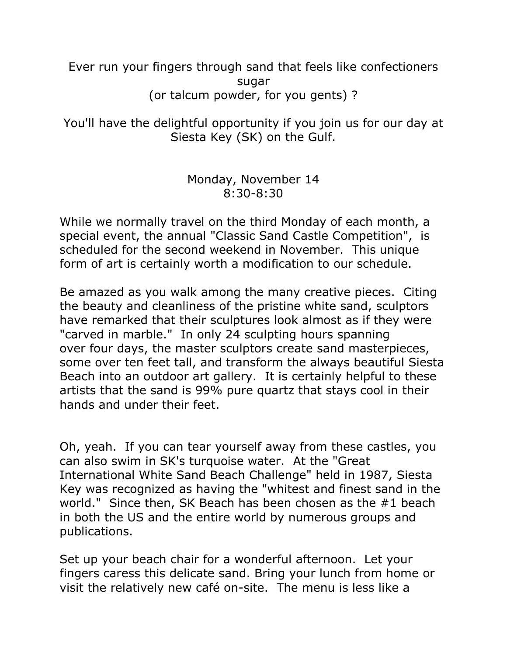Ever run your fingers through sand that feels like confectioners sugar (or talcum powder, for you gents) ?

You'll have the delightful opportunity if you join us for our day at Siesta Key (SK) on the Gulf.

## Monday, November 14 8:30-8:30

While we normally travel on the third Monday of each month, a special event, the annual "Classic Sand Castle Competition", is scheduled for the second weekend in November. This unique form of art is certainly worth a modification to our schedule.

Be amazed as you walk among the many creative pieces. Citing the beauty and cleanliness of the pristine white sand, sculptors have remarked that their sculptures look almost as if they were "carved in marble." In only 24 sculpting hours spanning over four days, the master sculptors create sand masterpieces, some over ten feet tall, and transform the always beautiful Siesta Beach into an outdoor art gallery. It is certainly helpful to these artists that the sand is 99% pure quartz that stays cool in their hands and under their feet.

Oh, yeah. If you can tear yourself away from these castles, you can also swim in SK's turquoise water. At the "Great International White Sand Beach Challenge" held in 1987, Siesta Key was recognized as having the "whitest and finest sand in the world." Since then, SK Beach has been chosen as the #1 beach in both the US and the entire world by numerous groups and publications.

Set up your beach chair for a wonderful afternoon. Let your fingers caress this delicate sand. Bring your lunch from home or visit the relatively new café on-site. The menu is less like a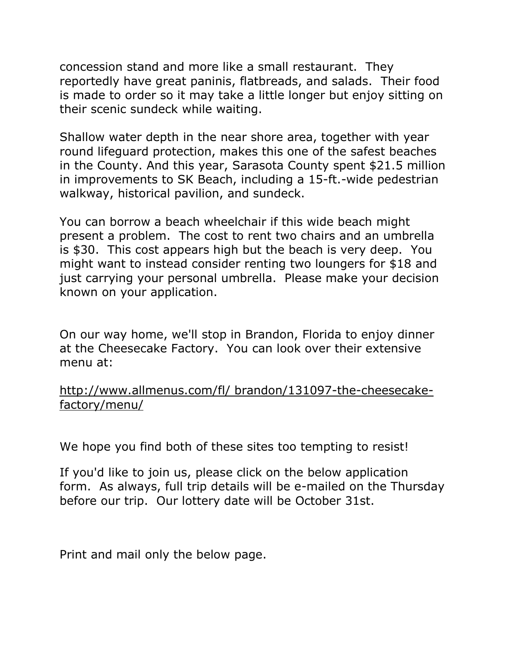concession stand and more like a small restaurant. They reportedly have great paninis, flatbreads, and salads. Their food is made to order so it may take a little longer but enjoy sitting on their scenic sundeck while waiting.

Shallow water depth in the near shore area, together with year round lifeguard protection, makes this one of the safest beaches in the County. And this year, Sarasota County spent \$21.5 million in improvements to SK Beach, including a 15-ft.-wide pedestrian walkway, historical pavilion, and sundeck.

You can borrow a beach wheelchair if this wide beach might present a problem. The cost to rent two chairs and an umbrella is \$30. This cost appears high but the beach is very deep. You might want to instead consider renting two loungers for \$18 and just carrying your personal umbrella. Please make your decision known on your application.

On our way home, we'll stop in Brandon, Florida to enjoy dinner at the Cheesecake Factory. You can look over their extensive menu at:

## [http://www.allmenus.com/fl/ brandon/131097-the-cheesecake](http://www.allmenus.com/fl/brandon/131097-the-cheesecake-factory/menu/)[factory/menu/](http://www.allmenus.com/fl/brandon/131097-the-cheesecake-factory/menu/)

We hope you find both of these sites too tempting to resist!

If you'd like to join us, please click on the below application form. As always, full trip details will be e-mailed on the Thursday before our trip. Our lottery date will be October 31st.

Print and mail only the below page.